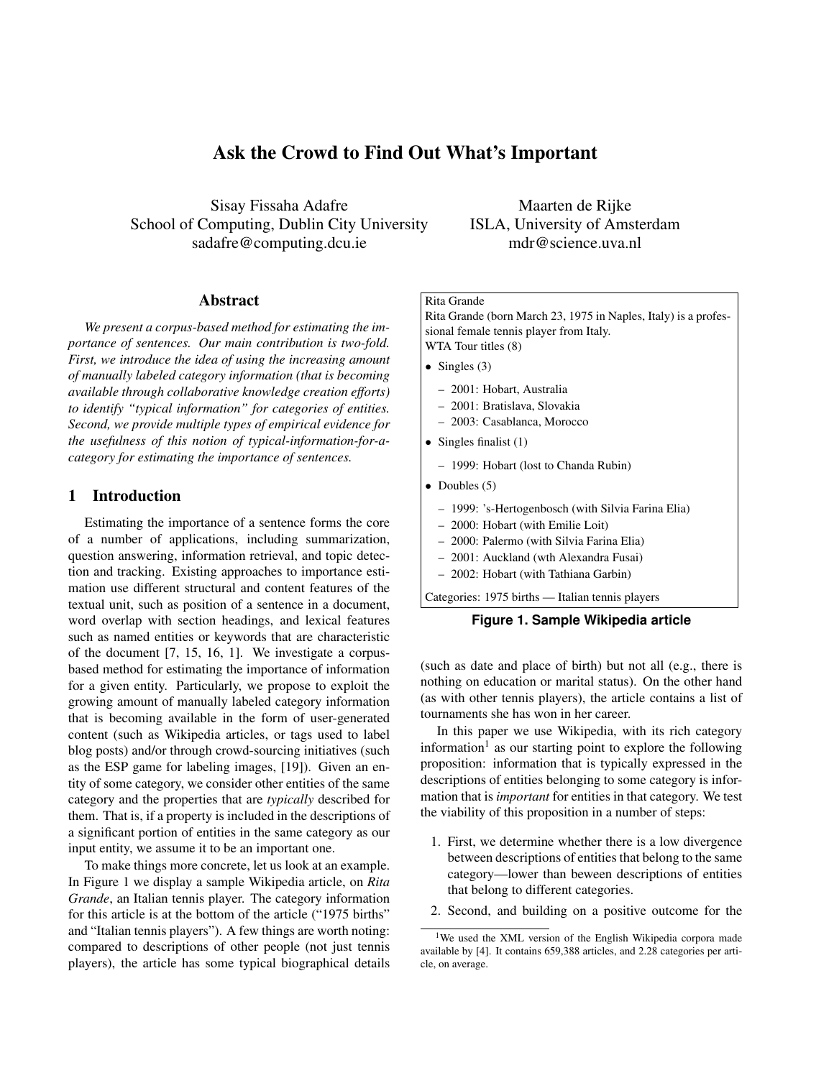# Ask the Crowd to Find Out What's Important

Sisay Fissaha Adafre School of Computing, Dublin City University sadafre@computing.dcu.ie

Abstract

*We present a corpus-based method for estimating the importance of sentences. Our main contribution is two-fold. First, we introduce the idea of using the increasing amount of manually labeled category information (that is becoming available through collaborative knowledge creation efforts) to identify "typical information" for categories of entities. Second, we provide multiple types of empirical evidence for the usefulness of this notion of typical-information-for-acategory for estimating the importance of sentences.*

# 1 Introduction

Estimating the importance of a sentence forms the core of a number of applications, including summarization, question answering, information retrieval, and topic detection and tracking. Existing approaches to importance estimation use different structural and content features of the textual unit, such as position of a sentence in a document, word overlap with section headings, and lexical features such as named entities or keywords that are characteristic of the document [7, 15, 16, 1]. We investigate a corpusbased method for estimating the importance of information for a given entity. Particularly, we propose to exploit the growing amount of manually labeled category information that is becoming available in the form of user-generated content (such as Wikipedia articles, or tags used to label blog posts) and/or through crowd-sourcing initiatives (such as the ESP game for labeling images, [19]). Given an entity of some category, we consider other entities of the same category and the properties that are *typically* described for them. That is, if a property is included in the descriptions of a significant portion of entities in the same category as our input entity, we assume it to be an important one.

To make things more concrete, let us look at an example. In Figure 1 we display a sample Wikipedia article, on *Rita Grande*, an Italian tennis player. The category information for this article is at the bottom of the article ("1975 births" and "Italian tennis players"). A few things are worth noting: compared to descriptions of other people (not just tennis players), the article has some typical biographical details

Maarten de Rijke ISLA, University of Amsterdam mdr@science.uva.nl

# Rita Grande

Rita Grande (born March 23, 1975 in Naples, Italy) is a professional female tennis player from Italy. WTA Tour titles (8)

- Singles  $(3)$ 
	- 2001: Hobart, Australia
	- 2001: Bratislava, Slovakia
	- 2003: Casablanca, Morocco
- Singles finalist  $(1)$ 
	- 1999: Hobart (lost to Chanda Rubin)
- Doubles  $(5)$ 
	- 1999: 's-Hertogenbosch (with Silvia Farina Elia)
	- 2000: Hobart (with Emilie Loit)
	- 2000: Palermo (with Silvia Farina Elia)
	- 2001: Auckland (wth Alexandra Fusai)
	- 2002: Hobart (with Tathiana Garbin)

Categories: 1975 births — Italian tennis players



(such as date and place of birth) but not all (e.g., there is nothing on education or marital status). On the other hand (as with other tennis players), the article contains a list of tournaments she has won in her career.

In this paper we use Wikipedia, with its rich category information<sup>1</sup> as our starting point to explore the following proposition: information that is typically expressed in the descriptions of entities belonging to some category is information that is *important* for entities in that category. We test the viability of this proposition in a number of steps:

- 1. First, we determine whether there is a low divergence between descriptions of entities that belong to the same category—lower than beween descriptions of entities that belong to different categories.
- 2. Second, and building on a positive outcome for the

<sup>&</sup>lt;sup>1</sup>We used the XML version of the English Wikipedia corpora made available by [4]. It contains 659,388 articles, and 2.28 categories per article, on average.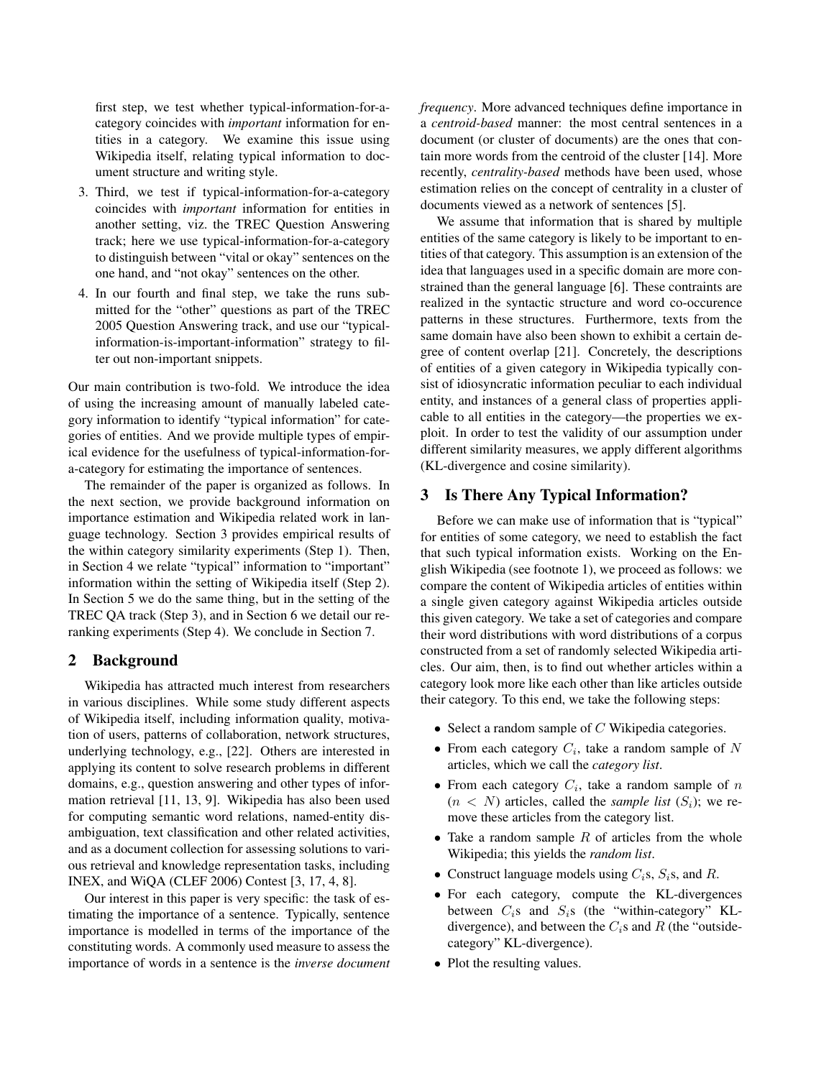first step, we test whether typical-information-for-acategory coincides with *important* information for entities in a category. We examine this issue using Wikipedia itself, relating typical information to document structure and writing style.

- 3. Third, we test if typical-information-for-a-category coincides with *important* information for entities in another setting, viz. the TREC Question Answering track; here we use typical-information-for-a-category to distinguish between "vital or okay" sentences on the one hand, and "not okay" sentences on the other.
- 4. In our fourth and final step, we take the runs submitted for the "other" questions as part of the TREC 2005 Question Answering track, and use our "typicalinformation-is-important-information" strategy to filter out non-important snippets.

Our main contribution is two-fold. We introduce the idea of using the increasing amount of manually labeled category information to identify "typical information" for categories of entities. And we provide multiple types of empirical evidence for the usefulness of typical-information-fora-category for estimating the importance of sentences.

The remainder of the paper is organized as follows. In the next section, we provide background information on importance estimation and Wikipedia related work in language technology. Section 3 provides empirical results of the within category similarity experiments (Step 1). Then, in Section 4 we relate "typical" information to "important" information within the setting of Wikipedia itself (Step 2). In Section 5 we do the same thing, but in the setting of the TREC QA track (Step 3), and in Section 6 we detail our reranking experiments (Step 4). We conclude in Section 7.

# 2 Background

Wikipedia has attracted much interest from researchers in various disciplines. While some study different aspects of Wikipedia itself, including information quality, motivation of users, patterns of collaboration, network structures, underlying technology, e.g., [22]. Others are interested in applying its content to solve research problems in different domains, e.g., question answering and other types of information retrieval [11, 13, 9]. Wikipedia has also been used for computing semantic word relations, named-entity disambiguation, text classification and other related activities, and as a document collection for assessing solutions to various retrieval and knowledge representation tasks, including INEX, and WiQA (CLEF 2006) Contest [3, 17, 4, 8].

Our interest in this paper is very specific: the task of estimating the importance of a sentence. Typically, sentence importance is modelled in terms of the importance of the constituting words. A commonly used measure to assess the importance of words in a sentence is the *inverse document* *frequency*. More advanced techniques define importance in a *centroid-based* manner: the most central sentences in a document (or cluster of documents) are the ones that contain more words from the centroid of the cluster [14]. More recently, *centrality-based* methods have been used, whose estimation relies on the concept of centrality in a cluster of documents viewed as a network of sentences [5].

We assume that information that is shared by multiple entities of the same category is likely to be important to entities of that category. This assumption is an extension of the idea that languages used in a specific domain are more constrained than the general language [6]. These contraints are realized in the syntactic structure and word co-occurence patterns in these structures. Furthermore, texts from the same domain have also been shown to exhibit a certain degree of content overlap [21]. Concretely, the descriptions of entities of a given category in Wikipedia typically consist of idiosyncratic information peculiar to each individual entity, and instances of a general class of properties applicable to all entities in the category—the properties we exploit. In order to test the validity of our assumption under different similarity measures, we apply different algorithms (KL-divergence and cosine similarity).

### 3 Is There Any Typical Information?

Before we can make use of information that is "typical" for entities of some category, we need to establish the fact that such typical information exists. Working on the English Wikipedia (see footnote 1), we proceed as follows: we compare the content of Wikipedia articles of entities within a single given category against Wikipedia articles outside this given category. We take a set of categories and compare their word distributions with word distributions of a corpus constructed from a set of randomly selected Wikipedia articles. Our aim, then, is to find out whether articles within a category look more like each other than like articles outside their category. To this end, we take the following steps:

- Select a random sample of  $C$  Wikipedia categories.
- From each category  $C_i$ , take a random sample of N articles, which we call the *category list*.
- From each category  $C_i$ , take a random sample of n  $(n < N)$  articles, called the *sample list*  $(S_i)$ ; we remove these articles from the category list.
- Take a random sample  $R$  of articles from the whole Wikipedia; this yields the *random list*.
- Construct language models using  $C_i$ s,  $S_i$ s, and R.
- For each category, compute the KL-divergences between  $C_i$ s and  $S_i$ s (the "within-category" KLdivergence), and between the  $C_i$ s and R (the "outsidecategory" KL-divergence).
- Plot the resulting values.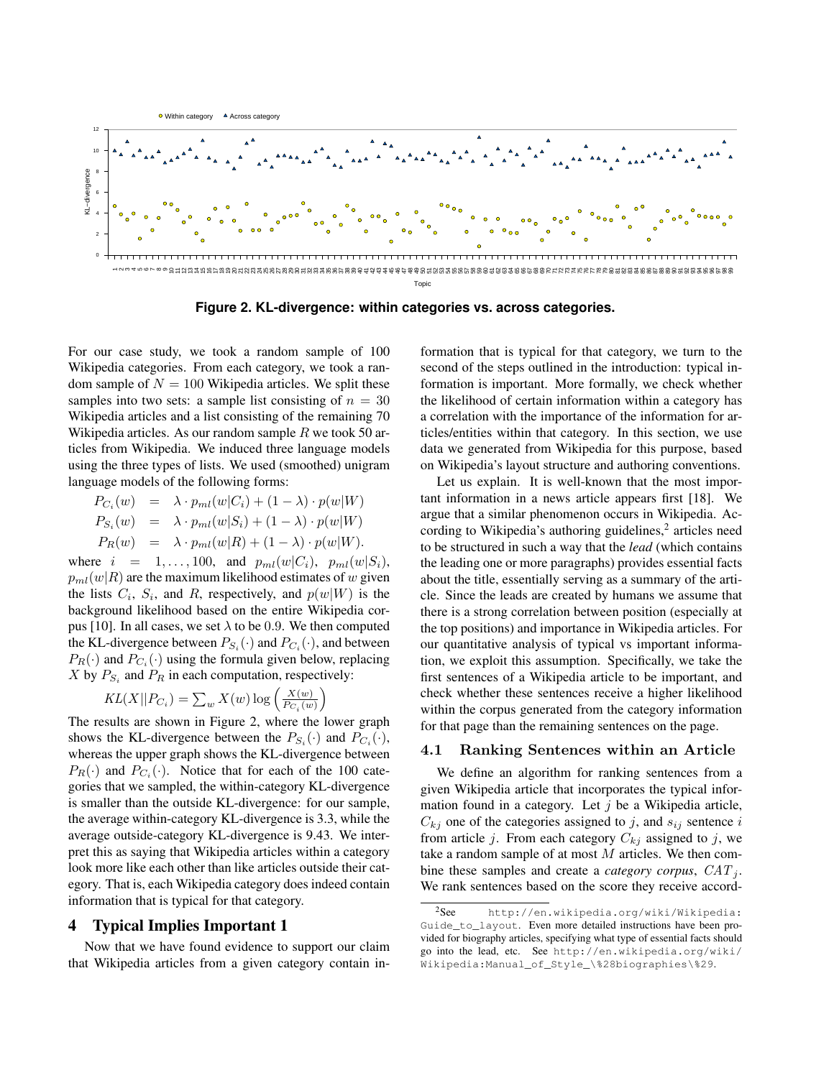

**Figure 2. KL-divergence: within categories vs. across categories.**

For our case study, we took a random sample of 100 Wikipedia categories. From each category, we took a random sample of  $N = 100$  Wikipedia articles. We split these samples into two sets: a sample list consisting of  $n = 30$ Wikipedia articles and a list consisting of the remaining 70 Wikipedia articles. As our random sample  $R$  we took 50 articles from Wikipedia. We induced three language models using the three types of lists. We used (smoothed) unigram language models of the following forms:

$$
P_{C_i}(w) = \lambda \cdot p_{ml}(w|C_i) + (1 - \lambda) \cdot p(w|W)
$$
  
\n
$$
P_{S_i}(w) = \lambda \cdot p_{ml}(w|S_i) + (1 - \lambda) \cdot p(w|W)
$$
  
\n
$$
P_R(w) = \lambda \cdot p_{ml}(w|R) + (1 - \lambda) \cdot p(w|W).
$$

where  $i = 1, ..., 100$ , and  $p_{ml}(w|C_i)$ ,  $p_{ml}(w|S_i)$ ,  $p_{ml}(w|R)$  are the maximum likelihood estimates of w given the lists  $C_i$ ,  $S_i$ , and R, respectively, and  $p(w|W)$  is the background likelihood based on the entire Wikipedia corpus [10]. In all cases, we set  $\lambda$  to be 0.9. We then computed the KL-divergence between  $P_{S_i}(\cdot)$  and  $P_{C_i}(\cdot)$ , and between  $P_R(\cdot)$  and  $P_{C_i}(\cdot)$  using the formula given below, replacing X by  $P_{S_i}$  and  $P_R$  in each computation, respectively:

$$
KL(X||P_{C_i}) = \sum_{w} X(w) \log \left(\frac{X(w)}{P_{C_i}(w)}\right)
$$

The results are shown in Figure 2, where the lower graph shows the KL-divergence between the  $P_{S_i}(\cdot)$  and  $P_{C_i}(\cdot)$ , whereas the upper graph shows the KL-divergence between  $P_R(\cdot)$  and  $P_{C_i}(\cdot)$ . Notice that for each of the 100 categories that we sampled, the within-category KL-divergence is smaller than the outside KL-divergence: for our sample, the average within-category KL-divergence is 3.3, while the average outside-category KL-divergence is 9.43. We interpret this as saying that Wikipedia articles within a category look more like each other than like articles outside their category. That is, each Wikipedia category does indeed contain information that is typical for that category.

### 4 Typical Implies Important 1

Now that we have found evidence to support our claim that Wikipedia articles from a given category contain information that is typical for that category, we turn to the second of the steps outlined in the introduction: typical information is important. More formally, we check whether the likelihood of certain information within a category has a correlation with the importance of the information for articles/entities within that category. In this section, we use data we generated from Wikipedia for this purpose, based on Wikipedia's layout structure and authoring conventions.

Let us explain. It is well-known that the most important information in a news article appears first [18]. We argue that a similar phenomenon occurs in Wikipedia. According to Wikipedia's authoring guidelines, $2$  articles need to be structured in such a way that the *lead* (which contains the leading one or more paragraphs) provides essential facts about the title, essentially serving as a summary of the article. Since the leads are created by humans we assume that there is a strong correlation between position (especially at the top positions) and importance in Wikipedia articles. For our quantitative analysis of typical vs important information, we exploit this assumption. Specifically, we take the first sentences of a Wikipedia article to be important, and check whether these sentences receive a higher likelihood within the corpus generated from the category information for that page than the remaining sentences on the page.

#### 4.1 Ranking Sentences within an Article

We define an algorithm for ranking sentences from a given Wikipedia article that incorporates the typical information found in a category. Let  $j$  be a Wikipedia article,  $C_{ki}$  one of the categories assigned to j, and  $s_{ij}$  sentence i from article j. From each category  $C_{kj}$  assigned to j, we take a random sample of at most  $M$  articles. We then combine these samples and create a *category corpus*,  $CAT_i$ . We rank sentences based on the score they receive accord-

<sup>2</sup>See http://en.wikipedia.org/wiki/Wikipedia: Guide\_to\_layout. Even more detailed instructions have been provided for biography articles, specifying what type of essential facts should go into the lead, etc. See http://en.wikipedia.org/wiki/ Wikipedia:Manual\_of\_Style\_\%28biographies\%29.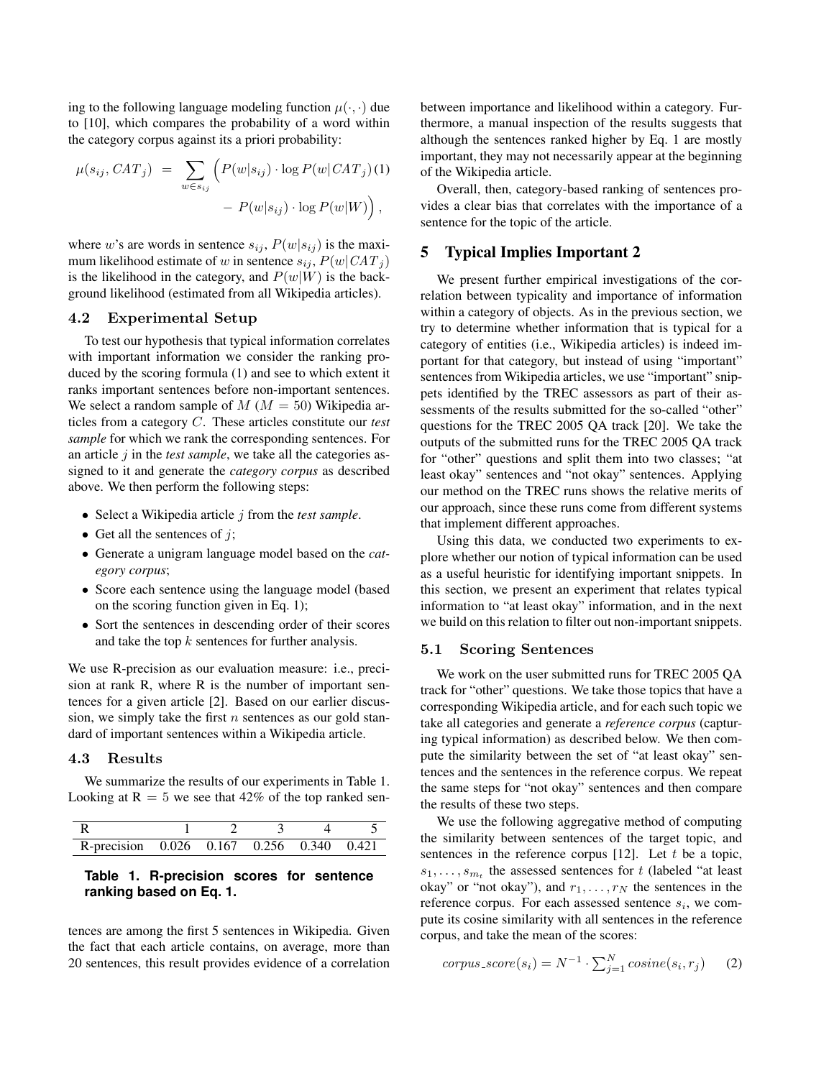ing to the following language modeling function  $\mu(\cdot, \cdot)$  due to [10], which compares the probability of a word within the category corpus against its a priori probability:

$$
\mu(s_{ij}, CAT_j) = \sum_{w \in s_{ij}} \left( P(w|s_{ij}) \cdot \log P(w|CAT_j)(1) - P(w|s_{ij}) \cdot \log P(w|W) \right),
$$

where w's are words in sentence  $s_{ij}$ ,  $P(w|s_{ij})$  is the maximum likelihood estimate of w in sentence  $s_{ij}$ ,  $P(w|CAT_j)$ is the likelihood in the category, and  $P(w|W)$  is the background likelihood (estimated from all Wikipedia articles).

#### 4.2 Experimental Setup

To test our hypothesis that typical information correlates with important information we consider the ranking produced by the scoring formula (1) and see to which extent it ranks important sentences before non-important sentences. We select a random sample of  $M (M = 50)$  Wikipedia articles from a category C. These articles constitute our *test sample* for which we rank the corresponding sentences. For an article j in the *test sample*, we take all the categories assigned to it and generate the *category corpus* as described above. We then perform the following steps:

- Select a Wikipedia article j from the *test sample*.
- Get all the sentences of  $j$ ;
- Generate a unigram language model based on the *category corpus*;
- Score each sentence using the language model (based on the scoring function given in Eq. 1);
- Sort the sentences in descending order of their scores and take the top  $k$  sentences for further analysis.

We use R-precision as our evaluation measure: i.e., precision at rank R, where R is the number of important sentences for a given article [2]. Based on our earlier discussion, we simply take the first  $n$  sentences as our gold standard of important sentences within a Wikipedia article.

### 4.3 Results

We summarize the results of our experiments in Table 1. Looking at  $R = 5$  we see that 42% of the top ranked sen-

| R-precision $0.026$ $0.167$ $0.\overline{256}$ $0.340$ $0.421$ |  |  |  |
|----------------------------------------------------------------|--|--|--|

# **Table 1. R-precision scores for sentence ranking based on Eq. 1.**

tences are among the first 5 sentences in Wikipedia. Given the fact that each article contains, on average, more than 20 sentences, this result provides evidence of a correlation between importance and likelihood within a category. Furthermore, a manual inspection of the results suggests that although the sentences ranked higher by Eq. 1 are mostly important, they may not necessarily appear at the beginning of the Wikipedia article.

Overall, then, category-based ranking of sentences provides a clear bias that correlates with the importance of a sentence for the topic of the article.

# 5 Typical Implies Important 2

We present further empirical investigations of the correlation between typicality and importance of information within a category of objects. As in the previous section, we try to determine whether information that is typical for a category of entities (i.e., Wikipedia articles) is indeed important for that category, but instead of using "important" sentences from Wikipedia articles, we use "important" snippets identified by the TREC assessors as part of their assessments of the results submitted for the so-called "other" questions for the TREC 2005 QA track [20]. We take the outputs of the submitted runs for the TREC 2005 QA track for "other" questions and split them into two classes; "at least okay" sentences and "not okay" sentences. Applying our method on the TREC runs shows the relative merits of our approach, since these runs come from different systems that implement different approaches.

Using this data, we conducted two experiments to explore whether our notion of typical information can be used as a useful heuristic for identifying important snippets. In this section, we present an experiment that relates typical information to "at least okay" information, and in the next we build on this relation to filter out non-important snippets.

#### 5.1 Scoring Sentences

We work on the user submitted runs for TREC 2005 QA track for "other" questions. We take those topics that have a corresponding Wikipedia article, and for each such topic we take all categories and generate a *reference corpus* (capturing typical information) as described below. We then compute the similarity between the set of "at least okay" sentences and the sentences in the reference corpus. We repeat the same steps for "not okay" sentences and then compare the results of these two steps.

We use the following aggregative method of computing the similarity between sentences of the target topic, and sentences in the reference corpus  $[12]$ . Let t be a topic,  $s_1, \ldots, s_{m_t}$  the assessed sentences for t (labeled "at least okay" or "not okay"), and  $r_1, \ldots, r_N$  the sentences in the reference corpus. For each assessed sentence  $s_i$ , we compute its cosine similarity with all sentences in the reference corpus, and take the mean of the scores:

$$
corpus\_score(s_i) = N^{-1} \cdot \sum_{j=1}^{N} cosine(s_i, r_j)
$$
 (2)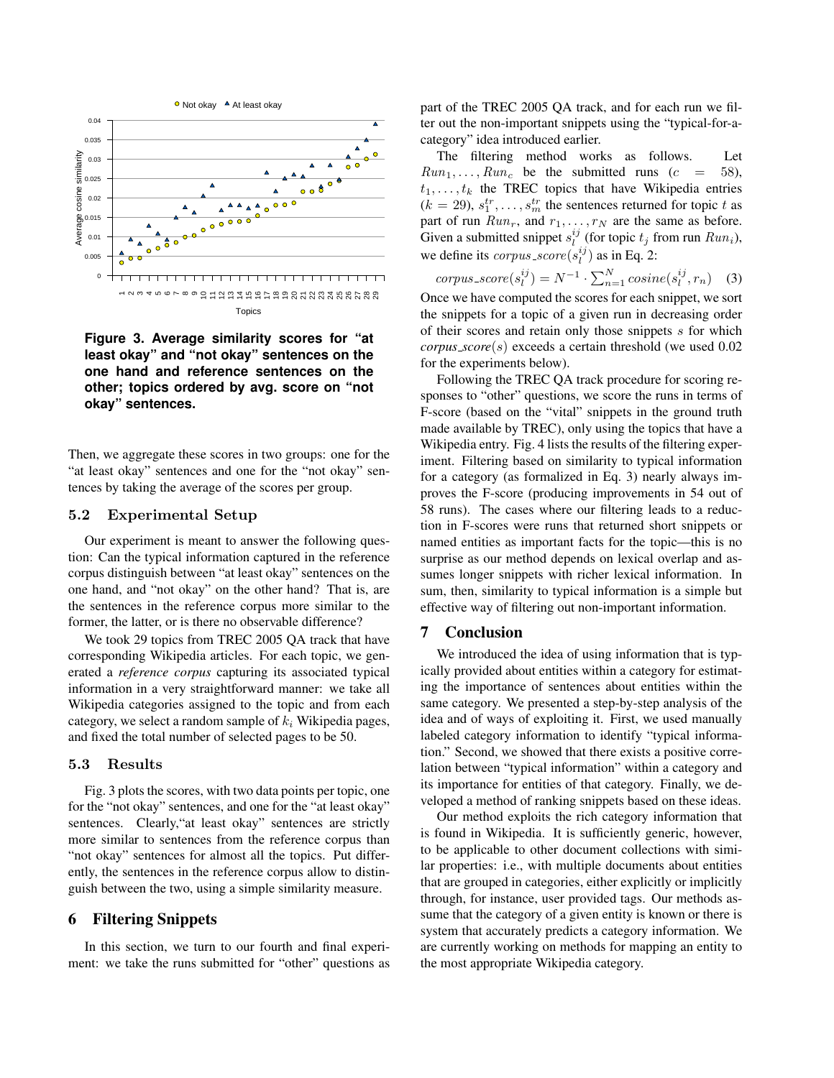

**Figure 3. Average similarity scores for "at least okay" and "not okay" sentences on the one hand and reference sentences on the other; topics ordered by avg. score on "not okay" sentences.**

Then, we aggregate these scores in two groups: one for the "at least okay" sentences and one for the "not okay" sentences by taking the average of the scores per group.

### 5.2 Experimental Setup

Our experiment is meant to answer the following question: Can the typical information captured in the reference corpus distinguish between "at least okay" sentences on the one hand, and "not okay" on the other hand? That is, are the sentences in the reference corpus more similar to the former, the latter, or is there no observable difference?

We took 29 topics from TREC 2005 QA track that have corresponding Wikipedia articles. For each topic, we generated a *reference corpus* capturing its associated typical information in a very straightforward manner: we take all Wikipedia categories assigned to the topic and from each category, we select a random sample of  $k_i$  Wikipedia pages, and fixed the total number of selected pages to be 50.

#### 5.3 Results

Fig. 3 plots the scores, with two data points per topic, one for the "not okay" sentences, and one for the "at least okay" sentences. Clearly,"at least okay" sentences are strictly more similar to sentences from the reference corpus than "not okay" sentences for almost all the topics. Put differently, the sentences in the reference corpus allow to distinguish between the two, using a simple similarity measure.

# 6 Filtering Snippets

In this section, we turn to our fourth and final experiment: we take the runs submitted for "other" questions as part of the TREC 2005 QA track, and for each run we filter out the non-important snippets using the "typical-for-acategory" idea introduced earlier.

The filtering method works as follows. Let  $Run_1, \ldots, Run_c$  be the submitted runs  $(c = 58)$ ,  $t_1, \ldots, t_k$  the TREC topics that have Wikipedia entries  $(k = 29), s_1^{tr}, \ldots, s_m^{tr}$  the sentences returned for topic t as part of run  $Run_r$ , and  $r_1, \ldots, r_N$  are the same as before. Given a submitted snippet  $s_i^{ij}$  (for topic  $t_j$  from run  $Run_i$ ), we define its  $corpus\_score(s_i^{ij})$  as in Eq. 2:

$$
corpus\_score(s_l^{ij}) = N^{-1} \cdot \sum_{n=1}^{N} cosine(s_l^{ij}, r_n)
$$
 (3)

Once we have computed the scores for each snippet, we sort the snippets for a topic of a given run in decreasing order of their scores and retain only those snippets s for which *corpus score*(s) exceeds a certain threshold (we used 0.02 for the experiments below).

Following the TREC QA track procedure for scoring responses to "other" questions, we score the runs in terms of F-score (based on the "vital" snippets in the ground truth made available by TREC), only using the topics that have a Wikipedia entry. Fig. 4 lists the results of the filtering experiment. Filtering based on similarity to typical information for a category (as formalized in Eq. 3) nearly always improves the F-score (producing improvements in 54 out of 58 runs). The cases where our filtering leads to a reduction in F-scores were runs that returned short snippets or named entities as important facts for the topic—this is no surprise as our method depends on lexical overlap and assumes longer snippets with richer lexical information. In sum, then, similarity to typical information is a simple but effective way of filtering out non-important information.

### 7 Conclusion

We introduced the idea of using information that is typically provided about entities within a category for estimating the importance of sentences about entities within the same category. We presented a step-by-step analysis of the idea and of ways of exploiting it. First, we used manually labeled category information to identify "typical information." Second, we showed that there exists a positive correlation between "typical information" within a category and its importance for entities of that category. Finally, we developed a method of ranking snippets based on these ideas.

Our method exploits the rich category information that is found in Wikipedia. It is sufficiently generic, however, to be applicable to other document collections with similar properties: i.e., with multiple documents about entities that are grouped in categories, either explicitly or implicitly through, for instance, user provided tags. Our methods assume that the category of a given entity is known or there is system that accurately predicts a category information. We are currently working on methods for mapping an entity to the most appropriate Wikipedia category.